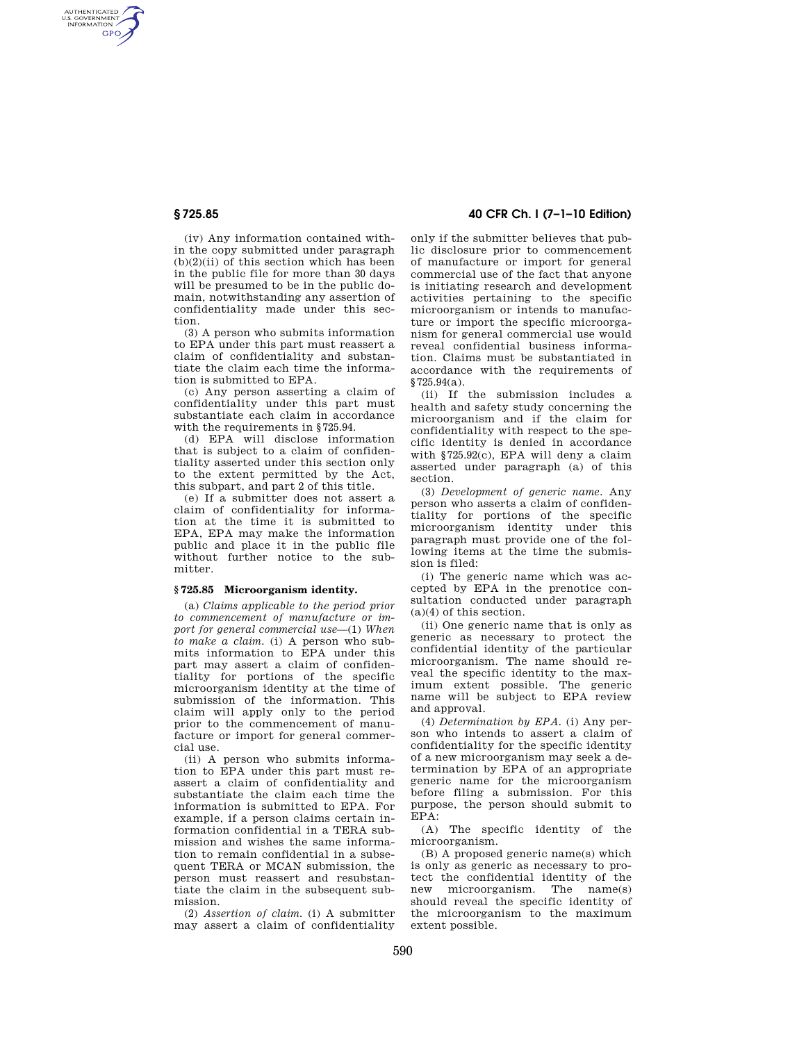AUTHENTICATED<br>U.S. GOVERNMENT<br>INFORMATION **GPO** 

> (iv) Any information contained within the copy submitted under paragraph  $(b)(2)(ii)$  of this section which has been in the public file for more than 30 days will be presumed to be in the public domain, notwithstanding any assertion of confidentiality made under this section.

> (3) A person who submits information to EPA under this part must reassert a claim of confidentiality and substantiate the claim each time the information is submitted to EPA.

> (c) Any person asserting a claim of confidentiality under this part must substantiate each claim in accordance with the requirements in §725.94.

> (d) EPA will disclose information that is subject to a claim of confidentiality asserted under this section only to the extent permitted by the Act, this subpart, and part 2 of this title.

> (e) If a submitter does not assert a claim of confidentiality for information at the time it is submitted to EPA, EPA may make the information public and place it in the public file without further notice to the submitter.

### **§ 725.85 Microorganism identity.**

(a) *Claims applicable to the period prior to commencement of manufacture or import for general commercial use*—(1) *When to make a claim.* (i) A person who submits information to EPA under this part may assert a claim of confidentiality for portions of the specific microorganism identity at the time of submission of the information. This claim will apply only to the period prior to the commencement of manufacture or import for general commercial use.

(ii) A person who submits information to EPA under this part must reassert a claim of confidentiality and substantiate the claim each time the information is submitted to EPA. For example, if a person claims certain information confidential in a TERA submission and wishes the same information to remain confidential in a subsequent TERA or MCAN submission, the person must reassert and resubstantiate the claim in the subsequent submission.

(2) *Assertion of claim.* (i) A submitter may assert a claim of confidentiality

# **§ 725.85 40 CFR Ch. I (7–1–10 Edition)**

only if the submitter believes that public disclosure prior to commencement of manufacture or import for general commercial use of the fact that anyone is initiating research and development activities pertaining to the specific microorganism or intends to manufacture or import the specific microorganism for general commercial use would reveal confidential business information. Claims must be substantiated in accordance with the requirements of §725.94(a).

(ii) If the submission includes a health and safety study concerning the microorganism and if the claim for confidentiality with respect to the specific identity is denied in accordance with §725.92(c), EPA will deny a claim asserted under paragraph (a) of this section.

(3) *Development of generic name.* Any person who asserts a claim of confidentiality for portions of the specific microorganism identity under this paragraph must provide one of the following items at the time the submission is filed:

(i) The generic name which was accepted by EPA in the prenotice consultation conducted under paragraph (a)(4) of this section.

(ii) One generic name that is only as generic as necessary to protect the confidential identity of the particular microorganism. The name should reveal the specific identity to the maximum extent possible. The generic name will be subject to EPA review and approval.

(4) *Determination by EPA.* (i) Any person who intends to assert a claim of confidentiality for the specific identity of a new microorganism may seek a determination by EPA of an appropriate generic name for the microorganism before filing a submission. For this purpose, the person should submit to EPA:

(A) The specific identity of the microorganism.

(B) A proposed generic name(s) which is only as generic as necessary to protect the confidential identity of the<br>new microorganism The name(s)  $microorganism.$  The name(s) should reveal the specific identity of the microorganism to the maximum extent possible.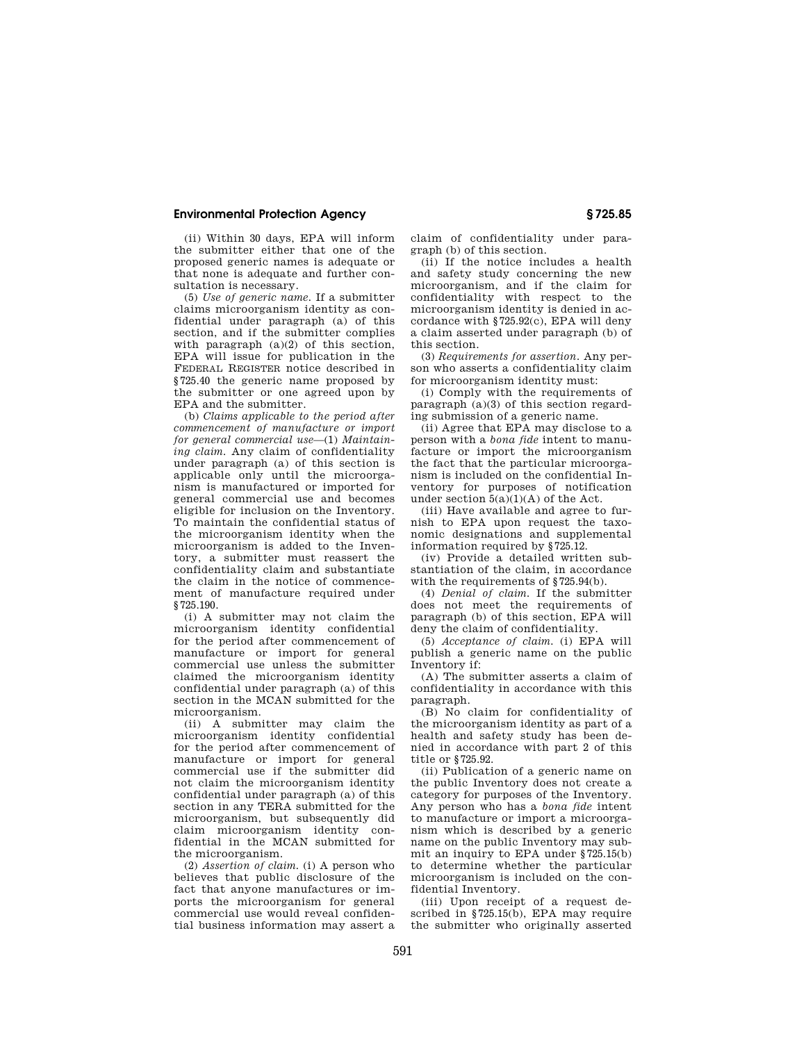## **Environmental Protection Agency § 725.85**

(ii) Within 30 days, EPA will inform the submitter either that one of the proposed generic names is adequate or that none is adequate and further consultation is necessary.

(5) *Use of generic name.* If a submitter claims microorganism identity as confidential under paragraph (a) of this section, and if the submitter complies with paragraph (a)(2) of this section. EPA will issue for publication in the FEDERAL REGISTER notice described in §725.40 the generic name proposed by the submitter or one agreed upon by EPA and the submitter.

(b) *Claims applicable to the period after commencement of manufacture or import for general commercial use*—(1) *Maintaining claim.* Any claim of confidentiality under paragraph (a) of this section is applicable only until the microorganism is manufactured or imported for general commercial use and becomes eligible for inclusion on the Inventory. To maintain the confidential status of the microorganism identity when the microorganism is added to the Inventory, a submitter must reassert the confidentiality claim and substantiate the claim in the notice of commencement of manufacture required under §725.190.

(i) A submitter may not claim the microorganism identity confidential for the period after commencement of manufacture or import for general commercial use unless the submitter claimed the microorganism identity confidential under paragraph (a) of this section in the MCAN submitted for the microorganism.

(ii) A submitter may claim the microorganism identity confidential for the period after commencement of manufacture or import for general commercial use if the submitter did not claim the microorganism identity confidential under paragraph (a) of this section in any TERA submitted for the microorganism, but subsequently did claim microorganism identity confidential in the MCAN submitted for the microorganism.

(2) *Assertion of claim.* (i) A person who believes that public disclosure of the fact that anyone manufactures or imports the microorganism for general commercial use would reveal confidential business information may assert a claim of confidentiality under paragraph (b) of this section.

(ii) If the notice includes a health and safety study concerning the new microorganism, and if the claim for confidentiality with respect to the microorganism identity is denied in accordance with §725.92(c), EPA will deny a claim asserted under paragraph (b) of this section.

(3) *Requirements for assertion.* Any person who asserts a confidentiality claim for microorganism identity must:

(i) Comply with the requirements of paragraph (a)(3) of this section regarding submission of a generic name.

(ii) Agree that EPA may disclose to a person with a *bona fide* intent to manufacture or import the microorganism the fact that the particular microorganism is included on the confidential Inventory for purposes of notification under section 5(a)(1)(A) of the Act.

(iii) Have available and agree to furnish to EPA upon request the taxonomic designations and supplemental information required by §725.12.

(iv) Provide a detailed written substantiation of the claim, in accordance with the requirements of §725.94(b).

(4) *Denial of claim.* If the submitter does not meet the requirements of paragraph (b) of this section, EPA will deny the claim of confidentiality.

(5) *Acceptance of claim.* (i) EPA will publish a generic name on the public Inventory if:

(A) The submitter asserts a claim of confidentiality in accordance with this paragraph.

(B) No claim for confidentiality of the microorganism identity as part of a health and safety study has been denied in accordance with part 2 of this title or §725.92.

(ii) Publication of a generic name on the public Inventory does not create a category for purposes of the Inventory. Any person who has a *bona fide* intent to manufacture or import a microorganism which is described by a generic name on the public Inventory may submit an inquiry to EPA under §725.15(b) to determine whether the particular microorganism is included on the confidential Inventory.

(iii) Upon receipt of a request described in §725.15(b), EPA may require the submitter who originally asserted